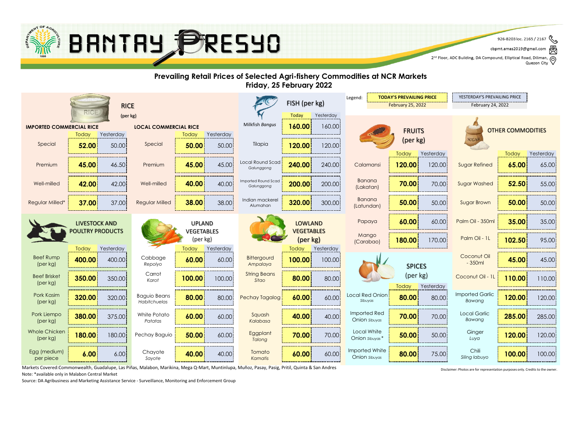

2<sup>nd</sup> Floor, ADC Building, DA Compound, Elliptical Road, Diliman, Q<br>Quezon City

#### **Prevailing Retail Prices of Selected Agri-fishery Commodities at NCR Markets Friday, 25 February 2022**



Markets Covered:Commonwealth, Guadalupe, Las Piñas, Malabon, Marikina, Mega Q-Mart, Muntinlupa, Muñoz, Pasay, Pasig, Pritil, Quinta & San Andres Note: \*available only in Malabon Central Market

Disclaimer: Photos are for representation purposes only. Credits to the owner.

Source: DA Agribusiness and Marketing Assistance Service - Surveillance, Monitoring and Enforcement Group

<sup>926-8203</sup> loc. 2165 / 2167 cbpmt.amas2019@gmail.com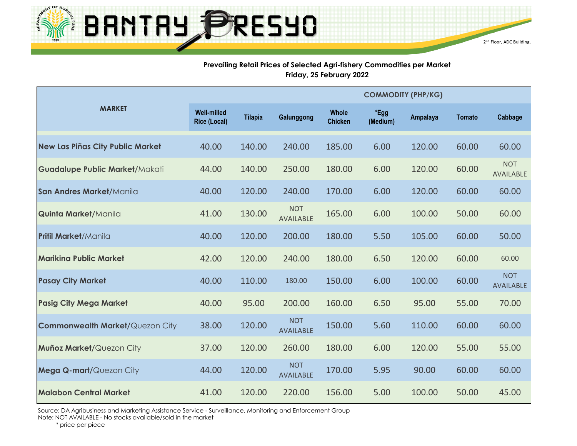

#### **Prevailing Retail Prices of Selected Agri-fishery Commodities per Market Friday, 25 February 2022**

|                                         |                                           |                |                                |                                | <b>COMMODITY (PHP/KG)</b> |                 |        |                                |  |  |  |
|-----------------------------------------|-------------------------------------------|----------------|--------------------------------|--------------------------------|---------------------------|-----------------|--------|--------------------------------|--|--|--|
| <b>MARKET</b>                           | <b>Well-milled</b><br><b>Rice (Local)</b> | <b>Tilapia</b> | Galunggong                     | <b>Whole</b><br><b>Chicken</b> | *Egg<br>(Medium)          | <b>Ampalaya</b> | Tomato | Cabbage                        |  |  |  |
| <b>New Las Piñas City Public Market</b> | 40.00                                     | 140.00         | 240.00                         | 185.00                         | 6.00                      | 120.00          | 60.00  | 60.00                          |  |  |  |
| <b>Guadalupe Public Market/Makati</b>   | 44.00                                     | 140.00         | 250.00                         | 180.00                         | 6.00                      | 120.00          | 60.00  | <b>NOT</b><br>AVAILABLE        |  |  |  |
| San Andres Market/Manila                | 40.00                                     | 120.00         | 240.00                         | 170.00                         | 6.00                      | 120.00          | 60.00  | 60.00                          |  |  |  |
| <b>Quinta Market/Manila</b>             | 41.00                                     | 130.00         | <b>NOT</b><br><b>AVAILABLE</b> | 165.00                         | 6.00                      | 100.00          | 50.00  | 60.00                          |  |  |  |
| <b>Pritil Market/Manila</b>             | 40.00                                     | 120.00         | 200.00                         | 180.00                         | 5.50                      | 105.00          | 60.00  | 50.00                          |  |  |  |
| <b>Marikina Public Market</b>           | 42.00                                     | 120.00         | 240.00                         | 180.00                         | 6.50                      | 120.00          | 60.00  | 60.00                          |  |  |  |
| <b>Pasay City Market</b>                | 40.00                                     | 110.00         | 180.00                         | 150.00                         | 6.00                      | 100.00          | 60.00  | <b>NOT</b><br><b>AVAILABLE</b> |  |  |  |
| <b>Pasig City Mega Market</b>           | 40.00                                     | 95.00          | 200.00                         | 160.00                         | 6.50                      | 95.00           | 55.00  | 70.00                          |  |  |  |
| <b>Commonwealth Market/Quezon City</b>  | 38.00                                     | 120.00         | <b>NOT</b><br><b>AVAILABLE</b> | 150.00                         | 5.60                      | 110.00          | 60.00  | 60.00                          |  |  |  |
| Muñoz Market/Quezon City                | 37.00                                     | 120.00         | 260.00                         | 180.00                         | 6.00                      | 120.00          | 55.00  | 55.00                          |  |  |  |
| Mega Q-mart/Quezon City                 | 44.00                                     | 120.00         | <b>NOT</b><br><b>AVAILABLE</b> | 170.00                         | 5.95                      | 90.00           | 60.00  | 60.00                          |  |  |  |
| <b>Malabon Central Market</b>           | 41.00                                     | 120.00         | 220.00                         | 156.00                         | 5.00                      | 100.00          | 50.00  | 45.00                          |  |  |  |

Source: DA Agribusiness and Marketing Assistance Service - Surveillance, Monitoring and Enforcement Group Note: NOT AVAILABLE - No stocks available/sold in the market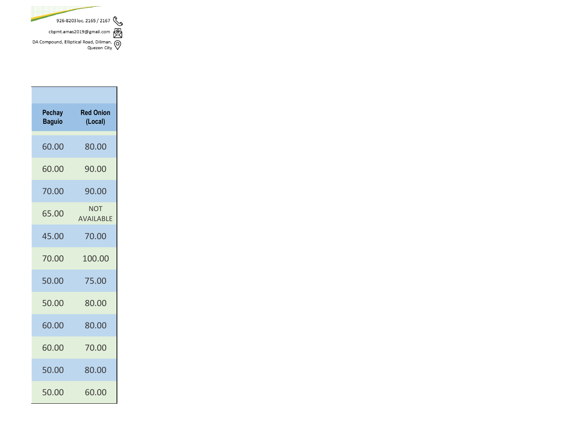

| Pechay<br><b>Baguio</b> | <b>Red Onion</b><br>(Local)    |
|-------------------------|--------------------------------|
| 60.00                   | 80.00                          |
| 60.00                   | 90.00                          |
| 70.00                   | 90.00                          |
| 65.00                   | <b>NOT</b><br><b>AVAILABLE</b> |
| 45.00                   | 70.00                          |
| 70.00                   | 100.00                         |
| 50.00                   | 75.00                          |
| 50.00                   | 80.00                          |
| 60.00                   | 80.00                          |
| 60.00                   | 70.00                          |
| 50.00                   | 80.00                          |
| 50.00                   | 60.00                          |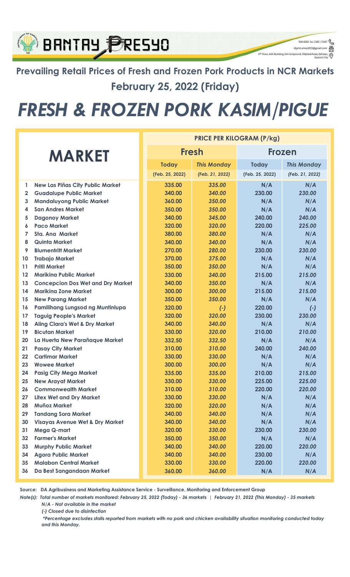### Prevailing Retail Prices of Fresh and Frozen Pork Products in NCR Markets February 25, 2022 (Friday)

926-8203 loc. 2165 / 2167

q

cbpmt.amas2019@gr

2<sup>nd</sup> Floor, ADC Building, DA Compound, Elliptical Ro

BRNTRY PRESYO

## FRESH & FROZEN PORK KASIM/PIGUE

|               |                                            | <b>PRICE PER KILOGRAM (P/kg)</b> |                 |                    |                 |                    |
|---------------|--------------------------------------------|----------------------------------|-----------------|--------------------|-----------------|--------------------|
| <b>MARKET</b> |                                            |                                  |                 | <b>Fresh</b>       | <b>Frozen</b>   |                    |
|               |                                            |                                  | <b>Today</b>    | <b>This Monday</b> | <b>Today</b>    | <b>This Monday</b> |
|               |                                            |                                  | (Feb. 25, 2022) | (Feb. 21, 2022)    | (Feb. 25, 2022) | (Feb. 21, 2022)    |
| 1             | New Las Piñas City Public Market           |                                  | 335.00          | 335.00             | N/A             | N/A                |
| $\mathbf{2}$  | <b>Guadalupe Public Market</b>             |                                  | 340.00          | 340.00             | 230.00          | 230.00             |
| 3             | <b>Mandaluyong Public Market</b>           |                                  | 360.00          | 350.00             | N/A             | N/A                |
| 4             | <b>San Andres Market</b>                   |                                  | 350.00          | 350.00             | N/A             | N/A                |
| 5             | <b>Dagonoy Market</b>                      |                                  | 340.00          | 345.00             | 240.00          | 240.00             |
| 6             | <b>Paco Market</b>                         |                                  | 320.00          | 320.00             | 220.00          | 225.00             |
| 7             | <b>Sta. Ana Market</b>                     |                                  | 380.00          | 380.00             | N/A             | N/A                |
| 8             | Quinta Market                              |                                  | 340.00          | 340.00             | N/A             | N/A                |
| 9             | <b>Blumentritt Market</b>                  |                                  | 270.00          | 280.00             | 230.00          | 230.00             |
| 10            | <b>Trabajo Market</b>                      |                                  | 370.00          | 375.00             | N/A             | N/A                |
| 11            | <b>Pritil Market</b>                       |                                  | 350.00          | 350.00             | N/A             | N/A                |
| $12 \,$       | <b>Mariking Public Market</b>              |                                  | 330.00          | 340.00             | 215.00          | 215.00             |
| 13            | <b>Concepcion Dos Wet and Dry Market</b>   |                                  | 340.00          | 350.00             | N/A             | N/A                |
| 14            | <b>Marikina Zone Market</b>                |                                  | 300.00          | 300.00             | 215.00          | 215.00             |
| 15            | <b>New Parang Market</b>                   |                                  | 350.00          | 350.00             | N/A             | N/A                |
| 16            | Pamilihang Lungsod ng Muntinlupa           |                                  | 320.00          | $(-)$              | 220.00          | $(-)$              |
| 17            | <b>Taguig People's Market</b>              |                                  | 320.00          | 320.00             | 230.00          | 230.00             |
| 18            | <b>Aling Clara's Wet &amp; Dry Market</b>  |                                  | 340.00          | 340.00             | N/A             | N/A                |
| 19            | <b>Bicutan Market</b>                      |                                  | 330.00          | 320.00             | 210.00          | 210.00             |
| 20            | La Huerta New Parañaque Market             |                                  | 332.50          | 332.50             | N/A             | N/A                |
| 21            | <b>Pasay City Market</b>                   |                                  | 310.00          | 310.00             | 240.00          | 240.00             |
| 22            | <b>Cartimar Market</b>                     |                                  | 330.00          | 330.00             | N/A             | N/A                |
| 23            | <b>Wowee Market</b>                        |                                  | 300.00          | 300.00             | N/A             | N/A                |
| 24            | <b>Pasig City Mega Market</b>              |                                  | 335.00          | 335.00             | 210.00          | 215.00             |
| 25            | <b>New Arayat Market</b>                   |                                  | 330.00          | 330.00             | 225.00          | 225.00             |
| 26            | <b>Commonwealth Market</b>                 |                                  | 310.00          | 310.00             | 220.00          | 220.00             |
| 27            | <b>Litex Wet and Dry Market</b>            |                                  | 330.00          | 330.00             | N/A             | N/A                |
| 28            | <b>Muñoz Market</b>                        |                                  | 320.00          | 320.00             | N/A             | N/A                |
| 29            | <b>Tandang Sora Market</b>                 |                                  | 340.00          | 340.00             | N/A             | N/A                |
| 30            | <b>Visayas Avenue Wet &amp; Dry Market</b> |                                  | 340.00          | 340.00             | N/A             | N/A                |
| 31            | Mega Q-mart                                |                                  | 320.00          | 330.00             | 230.00          | 230.00             |
| 32            | <b>Farmer's Market</b>                     |                                  | 350.00          | 350.00             | N/A             | N/A                |
| 33            | <b>Murphy Public Market</b>                |                                  | 340.00          | 340.00             | 220.00          | 220.00             |
| 34            | <b>Agora Public Market</b>                 |                                  | 340.00          | 340.00             | 230.00          | N/A                |
| 35            | <b>Malabon Central Market</b>              |                                  | 330.00          | 330.00             | 220.00          | 220.00             |
| 36            | Da Best Sangandaan Market                  |                                  | 360.00          | 360.00             | N/A             | N/A                |

Source: DA Agribusiness and Marketing Assistance Service - Surveillance, Monitoring and Enforcement Group

Note(s): Total number of markets monitored: February 25, 2022 (Today) - 36 markets | February 21, 2022 (This Monday) - 35 markets N/A - Not available in the market

(-) Closed due to disinfection

 \*Percentage excludes stalls reported from markets with no pork and chicken availability situation monitoring conducted today and this Monday.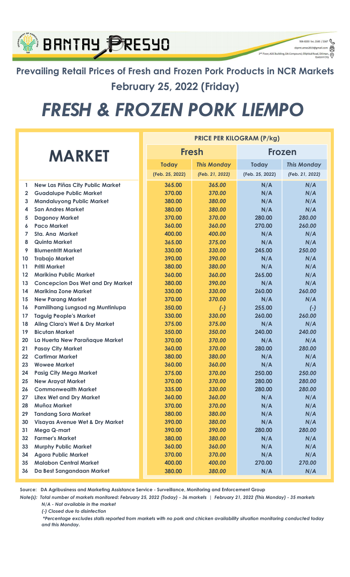### Prevailing Retail Prices of Fresh and Frozen Pork Products in NCR Markets February 25, 2022 (Friday)

926-8203 loc. 2165 / 2167  $\begin{picture}(16,10) \put(0,0){\line(1,0){100}} \put(15,0){\line(1,0){100}} \put(15,0){\line(1,0){100}} \put(15,0){\line(1,0){100}} \put(15,0){\line(1,0){100}} \put(15,0){\line(1,0){100}} \put(15,0){\line(1,0){100}} \put(15,0){\line(1,0){100}} \put(15,0){\line(1,0){100}} \put(15,0){\line(1,0){100}} \put(15,0){\line(1,0){100}} \$ 

 $\circledcirc$ 

-<br>2<sup>nd</sup> Floor, ADC Building, DA Compound, Elliptical Ro

**BRNTRY PRESYO** 

# FRESH & FROZEN PORK LIEMPO

|                   |                                            | <b>PRICE PER KILOGRAM (P/kg)</b> |                 |                    |                 |                    |  |
|-------------------|--------------------------------------------|----------------------------------|-----------------|--------------------|-----------------|--------------------|--|
| <b>MARKET</b>     |                                            |                                  |                 | <b>Fresh</b>       | <b>Frozen</b>   |                    |  |
|                   |                                            |                                  | <b>Today</b>    | <b>This Monday</b> | <b>Today</b>    | <b>This Monday</b> |  |
|                   |                                            |                                  | (Feb. 25, 2022) | (Feb. 21, 2022)    | (Feb. 25, 2022) | (Feb. 21, 2022)    |  |
| 1.                | <b>New Las Piñas City Public Market</b>    |                                  | 365.00          | 365.00             | N/A             | N/A                |  |
| $\mathbf{2}$      | <b>Guadalupe Public Market</b>             |                                  | 370.00          | 370.00             | N/A             | N/A                |  |
| 3                 | <b>Mandaluyong Public Market</b>           |                                  | 380.00          | 380.00             | N/A             | N/A                |  |
| 4                 | <b>San Andres Market</b>                   |                                  | 380.00          | 380.00             | N/A             | N/A                |  |
| 5                 | <b>Dagonoy Market</b>                      |                                  | 370.00          | 370.00             | 280.00          | 280.00             |  |
| 6                 | <b>Paco Market</b>                         |                                  | 360.00          | 360.00             | 270.00          | 260.00             |  |
| $\overline{7}$    | Sta. Ana Market                            |                                  | 400.00          | 400.00             | N/A             | N/A                |  |
| 8                 | <b>Quinta Market</b>                       |                                  | 365.00          | 375.00             | N/A             | N/A                |  |
| 9                 | <b>Blumentritt Market</b>                  |                                  | 330.00          | 330.00             | 245.00          | 250.00             |  |
| 10                | <b>Trabajo Market</b>                      |                                  | 390.00          | 390.00             | N/A             | N/A                |  |
| 11                | <b>Pritil Market</b>                       |                                  | 380.00          | 380.00             | N/A             | N/A                |  |
| $12 \overline{ }$ | <b>Marikina Public Market</b>              |                                  | 360.00          | 360.00             | 265.00          | N/A                |  |
| 13                | <b>Concepcion Dos Wet and Dry Market</b>   |                                  | 380.00          | 390.00             | N/A             | N/A                |  |
| 14                | <b>Marikina Zone Market</b>                |                                  | 330.00          | 330.00             | 260.00          | 260.00             |  |
| 15                | <b>New Parang Market</b>                   |                                  | 370.00          | 370.00             | N/A             | N/A                |  |
| 16                | Pamilihang Lungsod ng Muntinlupa           |                                  | 350.00          | $(-)$              | 255.00          | $(-)$              |  |
| 17                | <b>Taguig People's Market</b>              |                                  | 330.00          | 330.00             | 260.00          | 260.00             |  |
| 18                | <b>Aling Clara's Wet &amp; Dry Market</b>  |                                  | 375.00          | 375.00             | N/A             | N/A                |  |
| 19                | <b>Bicutan Market</b>                      |                                  | 350.00          | 350.00             | 240.00          | 240.00             |  |
| 20                | La Huerta New Parañaque Market             |                                  | 370.00          | 370.00             | N/A             | N/A                |  |
| 21                | <b>Pasay City Market</b>                   |                                  | 360.00          | 370.00             | 280.00          | 280.00             |  |
| 22                | <b>Cartimar Market</b>                     |                                  | 380.00          | 380.00             | N/A             | N/A                |  |
| 23                | <b>Wowee Market</b>                        |                                  | 360.00          | 360.00             | N/A             | N/A                |  |
| 24                | <b>Pasig City Mega Market</b>              |                                  | 375.00          | 370.00             | 250.00          | 250.00             |  |
| 25                | <b>New Arayat Market</b>                   |                                  | 370.00          | 370.00             | 280.00          | 280.00             |  |
| 26                | <b>Commonwealth Market</b>                 |                                  | 335.00          | 330.00             | 280.00          | 280.00             |  |
| 27                | <b>Litex Wet and Dry Market</b>            |                                  | 360.00          | 360.00             | N/A             | N/A                |  |
| 28                | <b>Muñoz Market</b>                        |                                  | 370.00          | 370.00             | N/A             | N/A                |  |
| 29                | <b>Tandang Sora Market</b>                 |                                  | 380.00          | 380.00             | N/A             | N/A                |  |
| 30                | <b>Visayas Avenue Wet &amp; Dry Market</b> |                                  | 390.00          | 380.00             | N/A             | N/A                |  |
| 31                | Mega Q-mart                                |                                  | 390.00          | 390.00             | 280.00          | 280.00             |  |
| 32                | <b>Farmer's Market</b>                     |                                  | 380.00          | 380.00             | N/A             | N/A                |  |
| 33                | <b>Murphy Public Market</b>                |                                  | 360.00          | 360.00             | N/A             | N/A                |  |
| 34                | <b>Agora Public Market</b>                 |                                  | 370.00          | 370.00             | N/A             | N/A                |  |
| 35                | <b>Malabon Central Market</b>              |                                  | 400.00          | 400.00             | 270.00          | 270.00             |  |
| 36                | Da Best Sangandaan Market                  |                                  | 380.00          | 380.00             | N/A             | N/A                |  |

Source: DA Agribusiness and Marketing Assistance Service - Surveillance, Monitoring and Enforcement Group

Note(s): Total number of markets monitored: February 25, 2022 (Today) - 36 markets | February 21, 2022 (This Monday) - 35 markets N/A - Not available in the market

(-) Closed due to disinfection

 \*Percentage excludes stalls reported from markets with no pork and chicken availability situation monitoring conducted today and this Monday.